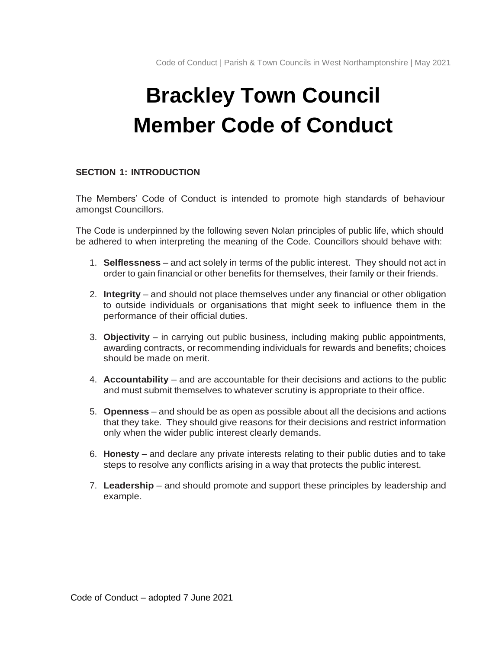# **Brackley Town Council Member Code of Conduct**

# **SECTION 1: INTRODUCTION**

The Members' Code of Conduct is intended to promote high standards of behaviour amongst Councillors.

The Code is underpinned by the following seven Nolan principles of public life, which should be adhered to when interpreting the meaning of the Code. Councillors should behave with:

- 1. **Selflessness** and act solely in terms of the public interest. They should not act in order to gain financial or other benefits for themselves, their family or their friends.
- 2. **Integrity** and should not place themselves under any financial or other obligation to outside individuals or organisations that might seek to influence them in the performance of their official duties.
- 3. **Objectivity**  in carrying out public business, including making public appointments, awarding contracts, or recommending individuals for rewards and benefits; choices should be made on merit.
- 4. **Accountability** and are accountable for their decisions and actions to the public and must submit themselves to whatever scrutiny is appropriate to their office.
- 5. **Openness** and should be as open as possible about all the decisions and actions that they take. They should give reasons for their decisions and restrict information only when the wider public interest clearly demands.
- 6. **Honesty**  and declare any private interests relating to their public duties and to take steps to resolve any conflicts arising in a way that protects the public interest.
- 7. **Leadership** and should promote and support these principles by leadership and example.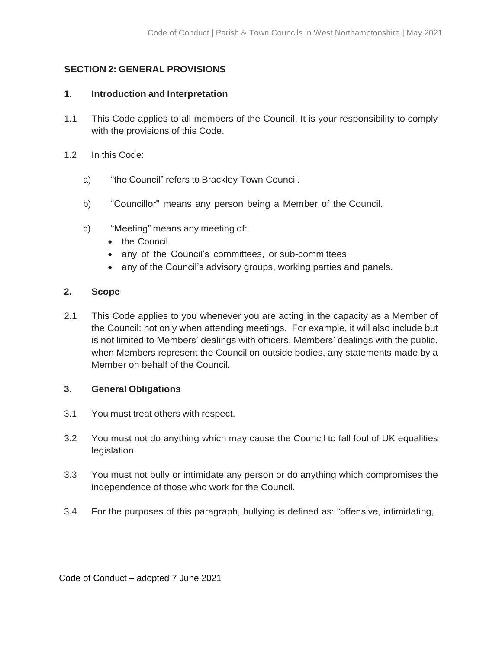# **SECTION 2: GENERAL PROVISIONS**

# **1. Introduction and Interpretation**

- 1.1 This Code applies to all members of the Council. It is your responsibility to comply with the provisions of this Code.
- 1.2 In this Code:
	- a) "the Council" refers to Brackley Town Council.
	- b) "Councillor" means any person being a Member of the Council.
	- c) "Meeting" means any meeting of:
		- the Council
		- any of the Council's committees, or sub-committees
		- any of the Council's advisory groups, working parties and panels.

# **2. Scope**

2.1 This Code applies to you whenever you are acting in the capacity as a Member of the Council: not only when attending meetings. For example, it will also include but is not limited to Members' dealings with officers, Members' dealings with the public, when Members represent the Council on outside bodies, any statements made by a Member on behalf of the Council.

## **3. General Obligations**

- 3.1 You must treat others with respect.
- 3.2 You must not do anything which may cause the Council to fall foul of UK equalities legislation.
- 3.3 You must not bully or intimidate any person or do anything which compromises the independence of those who work for the Council.
- 3.4 For the purposes of this paragraph, bullying is defined as: "offensive, intimidating,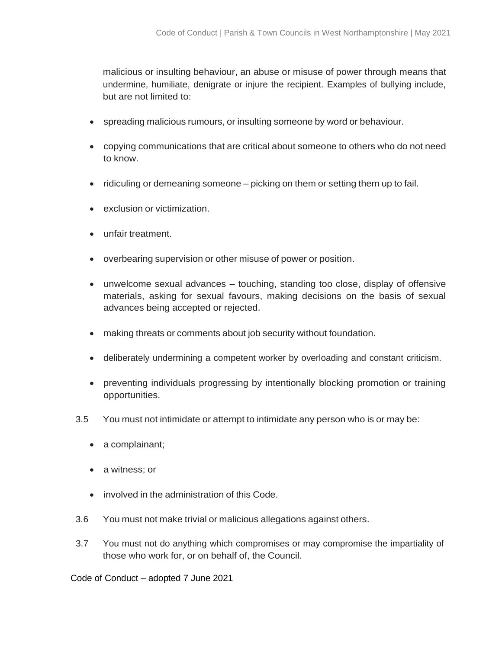malicious or insulting behaviour, an abuse or misuse of power through means that undermine, humiliate, denigrate or injure the recipient. Examples of bullying include, but are not limited to:

- spreading malicious rumours, or insulting someone by word or behaviour.
- copying communications that are critical about someone to others who do not need to know.
- ridiculing or demeaning someone picking on them or setting them up to fail.
- exclusion or victimization.
- unfair treatment.
- overbearing supervision or other misuse of power or position.
- unwelcome sexual advances touching, standing too close, display of offensive materials, asking for sexual favours, making decisions on the basis of sexual advances being accepted or rejected.
- making threats or comments about job security without foundation.
- deliberately undermining a competent worker by overloading and constant criticism.
- preventing individuals progressing by intentionally blocking promotion or training opportunities.
- 3.5 You must not intimidate or attempt to intimidate any person who is or may be:
	- a complainant;
	- a witness; or
	- involved in the administration of this Code.
- 3.6 You must not make trivial or malicious allegations against others.
- 3.7 You must not do anything which compromises or may compromise the impartiality of those who work for, or on behalf of, the Council.

Code of Conduct – adopted 7 June 2021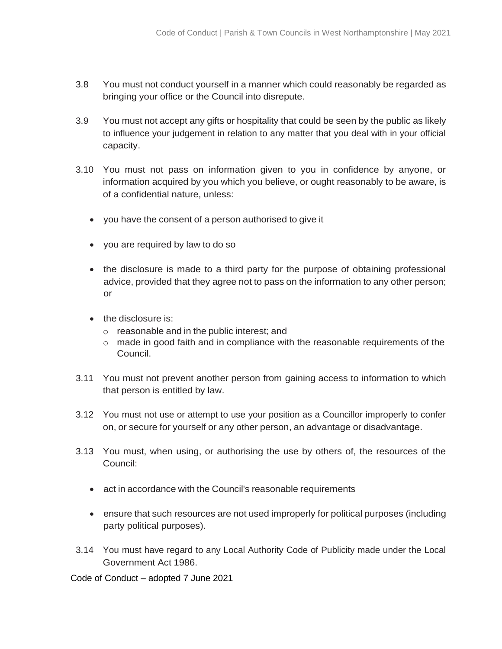- 3.8 You must not conduct yourself in a manner which could reasonably be regarded as bringing your office or the Council into disrepute.
- 3.9 You must not accept any gifts or hospitality that could be seen by the public as likely to influence your judgement in relation to any matter that you deal with in your official capacity.
- 3.10 You must not pass on information given to you in confidence by anyone, or information acquired by you which you believe, or ought reasonably to be aware, is of a confidential nature, unless:
	- you have the consent of a person authorised to give it
	- you are required by law to do so
	- the disclosure is made to a third party for the purpose of obtaining professional advice, provided that they agree not to pass on the information to any other person; or
	- the disclosure is:
		- o reasonable and in the public interest; and
		- o made in good faith and in compliance with the reasonable requirements of the Council.
- 3.11 You must not prevent another person from gaining access to information to which that person is entitled by law.
- 3.12 You must not use or attempt to use your position as a Councillor improperly to confer on, or secure for yourself or any other person, an advantage or disadvantage.
- 3.13 You must, when using, or authorising the use by others of, the resources of the Council:
	- act in accordance with the Council's reasonable requirements
	- ensure that such resources are not used improperly for political purposes (including party political purposes).
- 3.14 You must have regard to any Local Authority Code of Publicity made under the Local Government Act 1986.

Code of Conduct – adopted 7 June 2021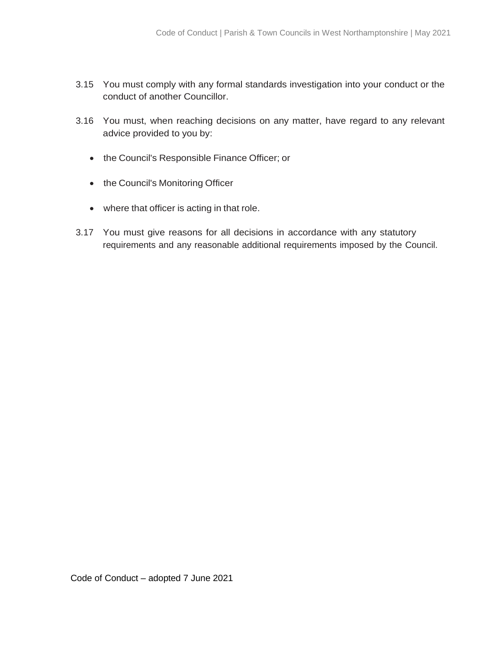- 3.15 You must comply with any formal standards investigation into your conduct or the conduct of another Councillor.
- 3.16 You must, when reaching decisions on any matter, have regard to any relevant advice provided to you by:
	- the Council's Responsible Finance Officer; or
	- the Council's Monitoring Officer
	- where that officer is acting in that role.
- 3.17 You must give reasons for all decisions in accordance with any statutory requirements and any reasonable additional requirements imposed by the Council.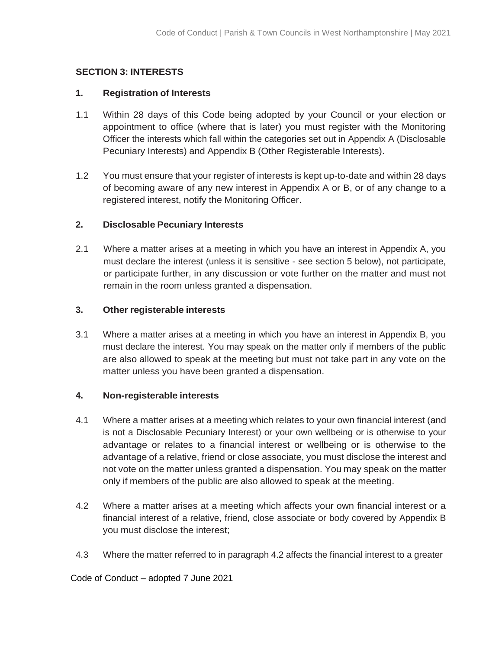## **SECTION 3: INTERESTS**

#### **1. Registration of Interests**

- 1.1 Within 28 days of this Code being adopted by your Council or your election or appointment to office (where that is later) you must register with the Monitoring Officer the interests which fall within the categories set out in Appendix A (Disclosable Pecuniary Interests) and Appendix B (Other Registerable Interests).
- 1.2 You must ensure that your register of interests is kept up-to-date and within 28 days of becoming aware of any new interest in Appendix A or B, or of any change to a registered interest, notify the Monitoring Officer.

#### **2. Disclosable Pecuniary Interests**

2.1 Where a matter arises at a meeting in which you have an interest in Appendix A, you must declare the interest (unless it is sensitive - see section 5 below), not participate, or participate further, in any discussion or vote further on the matter and must not remain in the room unless granted a dispensation.

#### **3. Other registerable interests**

3.1 Where a matter arises at a meeting in which you have an interest in Appendix B, you must declare the interest. You may speak on the matter only if members of the public are also allowed to speak at the meeting but must not take part in any vote on the matter unless you have been granted a dispensation.

#### **4. Non-registerable interests**

- 4.1 Where a matter arises at a meeting which relates to your own financial interest (and is not a Disclosable Pecuniary Interest) or your own wellbeing or is otherwise to your advantage or relates to a financial interest or wellbeing or is otherwise to the advantage of a relative, friend or close associate, you must disclose the interest and not vote on the matter unless granted a dispensation. You may speak on the matter only if members of the public are also allowed to speak at the meeting.
- 4.2 Where a matter arises at a meeting which affects your own financial interest or a financial interest of a relative, friend, close associate or body covered by Appendix B you must disclose the interest;
- 4.3 Where the matter referred to in paragraph 4.2 affects the financial interest to a greater

Code of Conduct – adopted 7 June 2021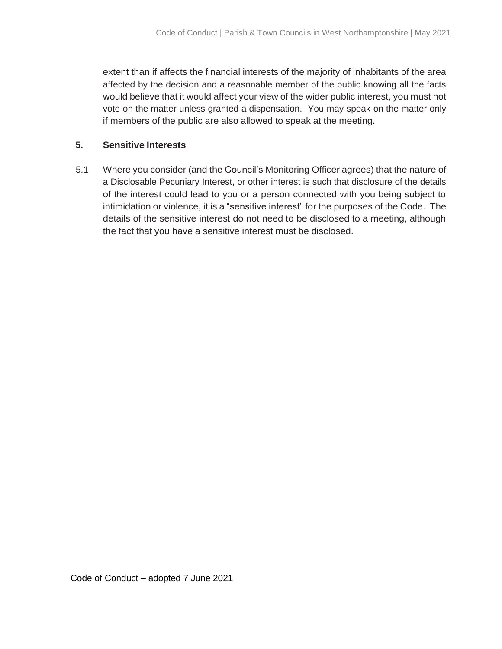extent than if affects the financial interests of the majority of inhabitants of the area affected by the decision and a reasonable member of the public knowing all the facts would believe that it would affect your view of the wider public interest, you must not vote on the matter unless granted a dispensation. You may speak on the matter only if members of the public are also allowed to speak at the meeting.

## **5. Sensitive Interests**

5.1 Where you consider (and the Council's Monitoring Officer agrees) that the nature of a Disclosable Pecuniary Interest, or other interest is such that disclosure of the details of the interest could lead to you or a person connected with you being subject to intimidation or violence, it is a "sensitive interest" for the purposes of the Code. The details of the sensitive interest do not need to be disclosed to a meeting, although the fact that you have a sensitive interest must be disclosed.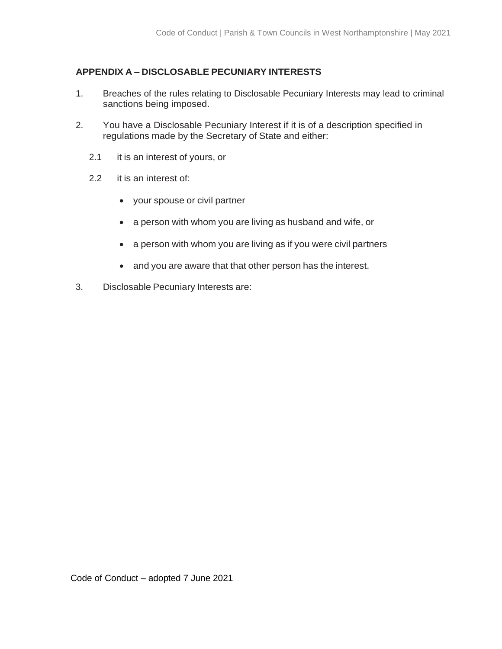# **APPENDIX A – DISCLOSABLE PECUNIARY INTERESTS**

- 1. Breaches of the rules relating to Disclosable Pecuniary Interests may lead to criminal sanctions being imposed.
- 2. You have a Disclosable Pecuniary Interest if it is of a description specified in regulations made by the Secretary of State and either:
	- 2.1 it is an interest of yours, or
	- 2.2 it is an interest of:
		- your spouse or civil partner
		- a person with whom you are living as husband and wife, or
		- a person with whom you are living as if you were civil partners
		- and you are aware that that other person has the interest.
- 3. Disclosable Pecuniary Interests are: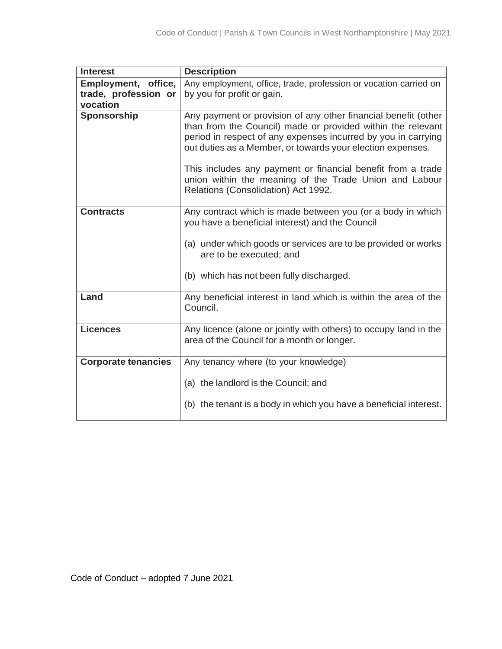| <b>Interest</b>            | <b>Description</b>                                                                                                                                                                                                                                                                                                                                                                                                           |
|----------------------------|------------------------------------------------------------------------------------------------------------------------------------------------------------------------------------------------------------------------------------------------------------------------------------------------------------------------------------------------------------------------------------------------------------------------------|
| Employment, office,        | Any employment, office, trade, profession or vocation carried on                                                                                                                                                                                                                                                                                                                                                             |
| trade, profession or       | by you for profit or gain.                                                                                                                                                                                                                                                                                                                                                                                                   |
| vocation                   |                                                                                                                                                                                                                                                                                                                                                                                                                              |
| <b>Sponsorship</b>         | Any payment or provision of any other financial benefit (other<br>than from the Council) made or provided within the relevant<br>period in respect of any expenses incurred by you in carrying<br>out duties as a Member, or towards your election expenses.<br>This includes any payment or financial benefit from a trade<br>union within the meaning of the Trade Union and Labour<br>Relations (Consolidation) Act 1992. |
| <b>Contracts</b>           | Any contract which is made between you (or a body in which<br>you have a beneficial interest) and the Council<br>(a) under which goods or services are to be provided or works<br>are to be executed; and                                                                                                                                                                                                                    |
|                            | (b) which has not been fully discharged.                                                                                                                                                                                                                                                                                                                                                                                     |
| Land                       | Any beneficial interest in land which is within the area of the<br>Council.                                                                                                                                                                                                                                                                                                                                                  |
| <b>Licences</b>            | Any licence (alone or jointly with others) to occupy land in the<br>area of the Council for a month or longer.                                                                                                                                                                                                                                                                                                               |
| <b>Corporate tenancies</b> | Any tenancy where (to your knowledge)                                                                                                                                                                                                                                                                                                                                                                                        |
|                            | (a) the landlord is the Council; and<br>(b) the tenant is a body in which you have a beneficial interest.                                                                                                                                                                                                                                                                                                                    |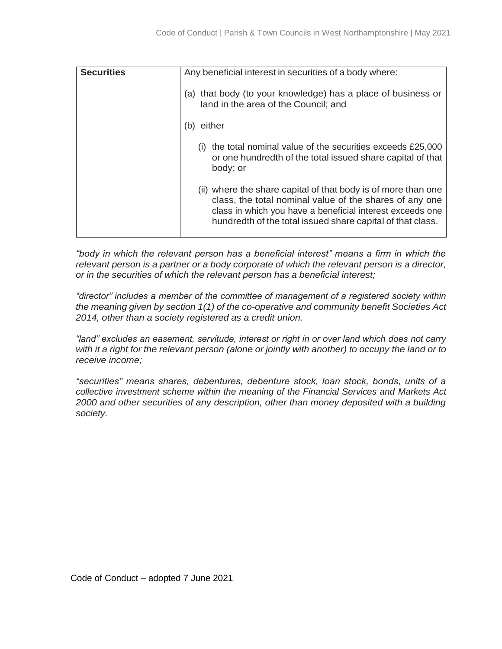| <b>Securities</b> | Any beneficial interest in securities of a body where:                                                                                                                                                                                              |
|-------------------|-----------------------------------------------------------------------------------------------------------------------------------------------------------------------------------------------------------------------------------------------------|
|                   | (a) that body (to your knowledge) has a place of business or<br>land in the area of the Council; and                                                                                                                                                |
|                   | either<br>(b)                                                                                                                                                                                                                                       |
|                   | the total nominal value of the securities exceeds £25,000<br>(i)<br>or one hundredth of the total issued share capital of that<br>body; or                                                                                                          |
|                   | (ii) where the share capital of that body is of more than one<br>class, the total nominal value of the shares of any one<br>class in which you have a beneficial interest exceeds one<br>hundredth of the total issued share capital of that class. |

*"body in which the relevant person has a beneficial interest" means a firm in which the relevant person is a partner or a body corporate of which the relevant person is a director, or in the securities of which the relevant person has a beneficial interest;*

*"director" includes a member of the committee of management of a registered society within the meaning given by section 1(1) of the co-operative and community benefit Societies Act 2014, other than a society registered as a credit union.*

*"land" excludes an easement, servitude, interest or right in or over land which does not carry* with it a right for the relevant person (alone or jointly with another) to occupy the land or to *receive income;*

*"securities" means shares, debentures, debenture stock, loan stock, bonds, units of a collective investment scheme within the meaning of the Financial Services and Markets Act 2000 and other securities of any description, other than money deposited with a building society.*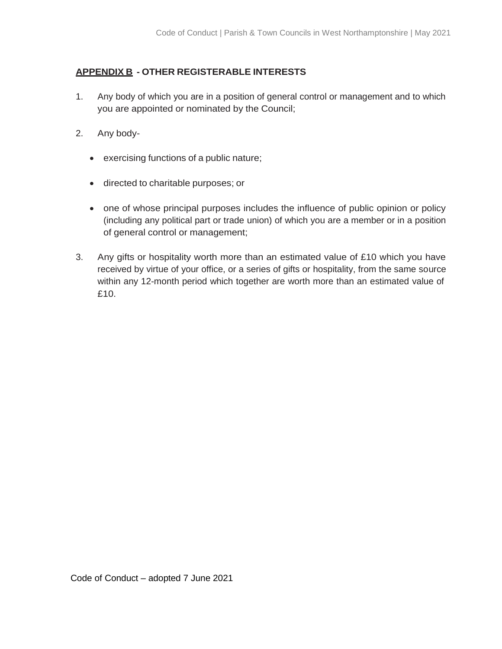# **APPENDIX B - OTHER REGISTERABLE INTERESTS**

- 1. Any body of which you are in a position of general control or management and to which you are appointed or nominated by the Council;
- 2. Any body
	- exercising functions of a public nature;
	- directed to charitable purposes; or
	- one of whose principal purposes includes the influence of public opinion or policy (including any political part or trade union) of which you are a member or in a position of general control or management;
- 3. Any gifts or hospitality worth more than an estimated value of £10 which you have received by virtue of your office, or a series of gifts or hospitality, from the same source within any 12-month period which together are worth more than an estimated value of £10.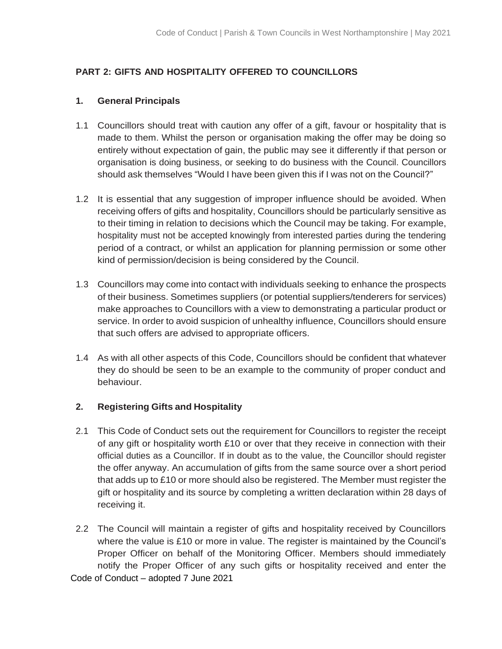# **PART 2: GIFTS AND HOSPITALITY OFFERED TO COUNCILLORS**

# **1. General Principals**

- 1.1 Councillors should treat with caution any offer of a gift, favour or hospitality that is made to them. Whilst the person or organisation making the offer may be doing so entirely without expectation of gain, the public may see it differently if that person or organisation is doing business, or seeking to do business with the Council. Councillors should ask themselves "Would I have been given this if I was not on the Council?"
- 1.2 It is essential that any suggestion of improper influence should be avoided. When receiving offers of gifts and hospitality, Councillors should be particularly sensitive as to their timing in relation to decisions which the Council may be taking. For example, hospitality must not be accepted knowingly from interested parties during the tendering period of a contract, or whilst an application for planning permission or some other kind of permission/decision is being considered by the Council.
- 1.3 Councillors may come into contact with individuals seeking to enhance the prospects of their business. Sometimes suppliers (or potential suppliers/tenderers for services) make approaches to Councillors with a view to demonstrating a particular product or service. In order to avoid suspicion of unhealthy influence, Councillors should ensure that such offers are advised to appropriate officers.
- 1.4 As with all other aspects of this Code, Councillors should be confident that whatever they do should be seen to be an example to the community of proper conduct and behaviour.

## **2. Registering Gifts and Hospitality**

- 2.1 This Code of Conduct sets out the requirement for Councillors to register the receipt of any gift or hospitality worth £10 or over that they receive in connection with their official duties as a Councillor. If in doubt as to the value, the Councillor should register the offer anyway. An accumulation of gifts from the same source over a short period that adds up to £10 or more should also be registered. The Member must register the gift or hospitality and its source by completing a written declaration within 28 days of receiving it.
- Code of Conduct adopted 7 June 2021 2.2 The Council will maintain a register of gifts and hospitality received by Councillors where the value is £10 or more in value. The register is maintained by the Council's Proper Officer on behalf of the Monitoring Officer. Members should immediately notify the Proper Officer of any such gifts or hospitality received and enter the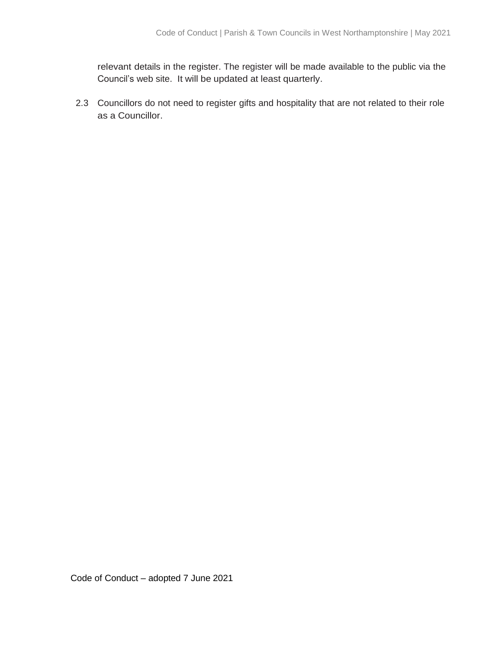relevant details in the register. The register will be made available to the public via the Council's web site. It will be updated at least quarterly.

2.3 Councillors do not need to register gifts and hospitality that are not related to their role as a Councillor.